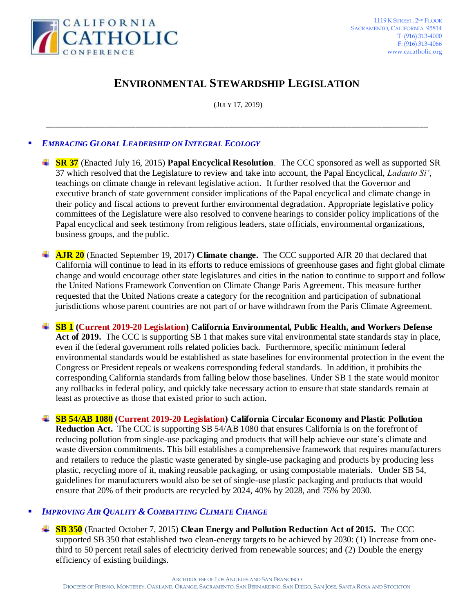

# **ENVIRONMENTAL STEWARDSHIP LEGISLATION**

(JULY 17, 2019)

\_\_\_\_\_\_\_\_\_\_\_\_\_\_\_\_\_\_\_\_\_\_\_\_\_\_\_\_\_\_\_\_\_\_\_\_\_\_\_\_\_\_\_\_\_\_\_\_\_\_\_\_\_\_\_\_\_\_\_\_\_\_\_\_\_\_\_\_\_\_\_\_\_\_\_\_\_\_\_\_\_\_\_\_\_\_\_\_\_\_

# *EMBRACING GLOBAL LEADERSHIP ON INTEGRAL ECOLOGY*

- **SR 37** (Enacted July 16, 2015) **Papal Encyclical Resolution**. The CCC sponsored as well as supported SR 37 which resolved that the Legislature to review and take into account, the Papal Encyclical, *Ladauto Si'*, teachings on climate change in relevant legislative action. It further resolved that the Governor and executive branch of state government consider implications of the Papal encyclical and climate change in their policy and fiscal actions to prevent further environmental degradation. Appropriate legislative policy committees of the Legislature were also resolved to convene hearings to consider policy implications of the Papal encyclical and seek testimony from religious leaders, state officials, environmental organizations, business groups, and the public.
- **AJR 20** (Enacted September 19, 2017) **Climate change.** The CCC supported AJR 20 that declared that California will continue to lead in its efforts to reduce emissions of greenhouse gases and fight global climate change and would encourage other state legislatures and cities in the nation to continue to support and follow the United Nations Framework Convention on Climate Change Paris Agreement. This measure further requested that the United Nations create a category for the recognition and participation of subnational jurisdictions whose parent countries are not part of or have withdrawn from the Paris Climate Agreement.

**SB 1 (Current 2019-20 Legislation) California Environmental, Public Health, and Workers Defense**  Act of 2019. The CCC is supporting SB 1 that makes sure vital environmental state standards stay in place, even if the federal government rolls related policies back. Furthermore, specific minimum federal environmental standards would be established as state baselines for environmental protection in the event the Congress or President repeals or weakens corresponding federal standards. In addition, it prohibits the corresponding California standards from falling below those baselines. Under SB 1 the state would monitor any rollbacks in federal policy, and quickly take necessary action to ensure that state standards remain at least as protective as those that existed prior to such action.

**SB 54/AB 1080 (Current 2019-20 Legislation) California Circular Economy and Plastic Pollution Reduction Act.** The CCC is supporting SB 54/AB 1080 that ensures California is on the forefront of reducing pollution from single-use packaging and products that will help achieve our state's climate and waste diversion commitments. This bill establishes a comprehensive framework that requires manufacturers and retailers to reduce the plastic waste generated by single-use packaging and products by producing less plastic, recycling more of it, making reusable packaging, or using compostable materials. Under SB 54, guidelines for manufacturers would also be set of single-use plastic packaging and products that would ensure that 20% of their products are recycled by 2024, 40% by 2028, and 75% by 2030.

## *IMPROVING AIR QUALITY & COMBATTING CLIMATE CHANGE*

**SB 350** (Enacted October 7, 2015) **Clean Energy and Pollution Reduction Act of 2015.** The CCC supported SB 350 that established two clean-energy targets to be achieved by 2030: (1) Increase from onethird to 50 percent retail sales of electricity derived from renewable sources; and (2) Double the energy efficiency of existing buildings.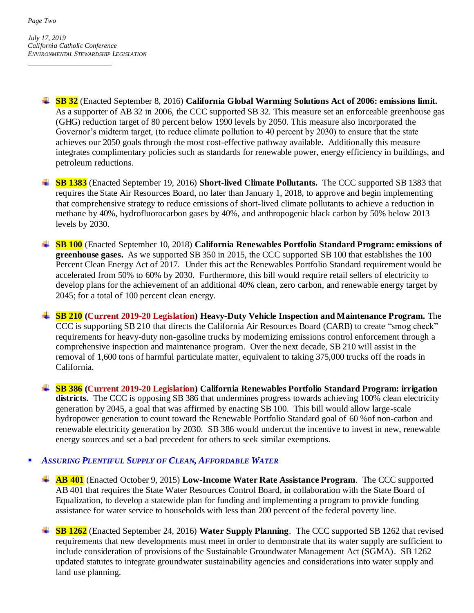- **SB 32** (Enacted September 8, 2016) **California Global Warming Solutions Act of 2006: emissions limit.** As a supporter of AB 32 in 2006, the CCC supported SB 32. This measure set an enforceable greenhouse gas (GHG) reduction target of 80 percent below 1990 levels by 2050. This measure also incorporated the Governor's midterm target, (to reduce climate pollution to 40 percent by 2030) to ensure that the state achieves our 2050 goals through the most cost-effective pathway available. Additionally this measure integrates complimentary policies such as standards for renewable power, energy efficiency in buildings, and petroleum reductions.
- **SB 1383** (Enacted September 19, 2016) **Short-lived Climate Pollutants.** The CCC supported SB 1383 that requires the State Air Resources Board, no later than January 1, 2018, to approve and begin implementing that comprehensive strategy to reduce emissions of short-lived climate pollutants to achieve a reduction in methane by 40%, hydrofluorocarbon gases by 40%, and anthropogenic black carbon by 50% below 2013 levels by 2030.
- **SB 100** (Enacted September 10, 2018) **California Renewables Portfolio Standard Program: emissions of greenhouse gases.** As we supported SB 350 in 2015, the CCC supported SB 100 that establishes the 100 Percent Clean Energy Act of 2017. Under this act the Renewables Portfolio Standard requirement would be accelerated from 50% to 60% by 2030. Furthermore, this bill would require retail sellers of electricity to develop plans for the achievement of an additional 40% clean, zero carbon, and renewable energy target by 2045; for a total of 100 percent clean energy.
- **SB 210 (Current 2019-20 Legislation) Heavy-Duty Vehicle Inspection and Maintenance Program.** The CCC is supporting SB 210 that directs the California Air Resources Board (CARB) to create "smog check" requirements for heavy-duty non-gasoline trucks by modernizing emissions control enforcement through a comprehensive inspection and maintenance program. Over the next decade, SB 210 will assist in the removal of 1,600 tons of harmful particulate matter, equivalent to taking 375,000 trucks off the roads in California.
- **SB 386 (Current 2019-20 Legislation) California Renewables Portfolio Standard Program: irrigation** districts. The CCC is opposing SB 386 that undermines progress towards achieving 100% clean electricity generation by 2045, a goal that was affirmed by enacting SB 100. This bill would allow large-scale hydropower generation to count toward the Renewable Portfolio Standard goal of 60 %of non-carbon and renewable electricity generation by 2030. SB 386 would undercut the incentive to invest in new, renewable energy sources and set a bad precedent for others to seek similar exemptions.

## *ASSURING PLENTIFUL SUPPLY OF CLEAN, AFFORDABLE WATER*

- **AB 401** (Enacted October 9, 2015) **Low-Income Water Rate Assistance Program**. The CCC supported AB 401 that requires the State Water Resources Control Board, in collaboration with the State Board of Equalization, to develop a statewide plan for funding and implementing a program to provide funding assistance for water service to households with less than 200 percent of the federal poverty line.
- **SB 1262** (Enacted September 24, 2016) **Water Supply Planning**. The CCC supported SB 1262 that revised requirements that new developments must meet in order to demonstrate that its water supply are sufficient to include consideration of provisions of the Sustainable Groundwater Management Act (SGMA). SB 1262 updated statutes to integrate groundwater sustainability agencies and considerations into water supply and land use planning.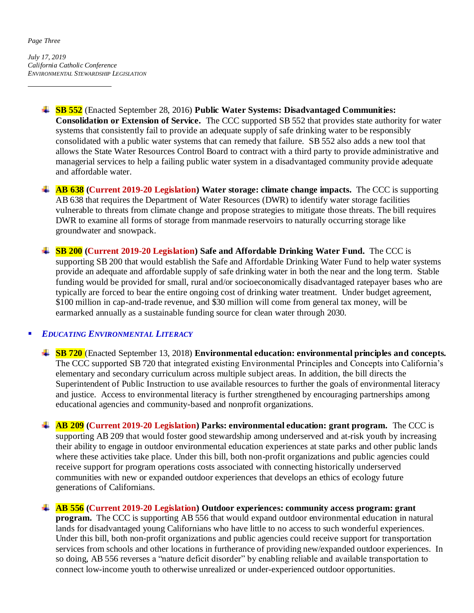#### *Page Three*

*July 17, 2019 California Catholic Conference ENVIRONMENTAL STEWARDSHIP LEGISLATION*

- **SB 552** (Enacted September 28, 2016) **Public Water Systems: Disadvantaged Communities: Consolidation or Extension of Service.** The CCC supported SB 552 that provides state authority for water systems that consistently fail to provide an adequate supply of safe drinking water to be responsibly consolidated with a public water systems that can remedy that failure. SB 552 also adds a new tool that allows the State Water Resources Control Board to contract with a third party to provide administrative and managerial services to help a failing public water system in a disadvantaged community provide adequate and affordable water.
- **AB 638 (Current 2019-20 Legislation) Water storage: climate change impacts.** The CCC is supporting AB 638 that requires the Department of Water Resources (DWR) to identify water storage facilities vulnerable to threats from climate change and propose strategies to mitigate those threats. The bill requires DWR to examine all forms of storage from manmade reservoirs to naturally occurring storage like groundwater and snowpack.
- **SB 200 (Current 2019-20 Legislation) Safe and Affordable Drinking Water Fund.** The CCC is supporting SB 200 that would establish the Safe and Affordable Drinking Water Fund to help water systems provide an adequate and affordable supply of safe drinking water in both the near and the long term. Stable funding would be provided for small, rural and/or socioeconomically disadvantaged ratepayer bases who are typically are forced to bear the entire ongoing cost of drinking water treatment. Under budget agreement, \$100 million in cap-and-trade revenue, and \$30 million will come from general tax money, will be earmarked annually as a sustainable funding source for clean water through 2030.

## *EDUCATING ENVIRONMENTAL LITERACY*

- **SB 720** (Enacted September 13, 2018) **Environmental education: environmental principles and concepts.** The CCC supported SB 720 that integrated existing Environmental Principles and Concepts into California's elementary and secondary curriculum across multiple subject areas. In addition, the bill directs the Superintendent of Public Instruction to use available resources to further the goals of environmental literacy and justice. Access to environmental literacy is further strengthened by encouraging partnerships among educational agencies and community-based and nonprofit organizations.
- **AB 209 (Current 2019-20 Legislation) Parks: environmental education: grant program.** The CCC is supporting AB 209 that would foster good stewardship among underserved and at-risk youth by increasing their ability to engage in outdoor environmental education experiences at state parks and other public lands where these activities take place. Under this bill, both non-profit organizations and public agencies could receive support for program operations costs associated with connecting historically underserved communities with new or expanded outdoor experiences that develops an ethics of ecology future generations of Californians.
- **AB 556 (Current 2019-20 Legislation) Outdoor experiences: community access program: grant program.** The CCC is supporting AB 556 that would expand outdoor environmental education in natural lands for disadvantaged young Californians who have little to no access to such wonderful experiences. Under this bill, both non-profit organizations and public agencies could receive support for transportation services from schools and other locations in furtherance of providing new/expanded outdoor experiences. In so doing, AB 556 reverses a "nature deficit disorder" by enabling reliable and available transportation to connect low-income youth to otherwise unrealized or under-experienced outdoor opportunities.